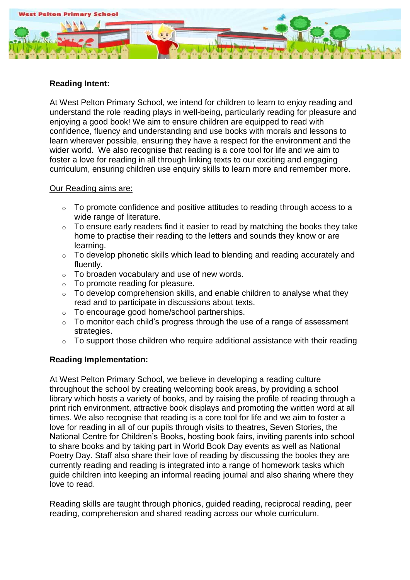

# **Reading Intent:**

At West Pelton Primary School, we intend for children to learn to enjoy reading and understand the role reading plays in well-being, particularly reading for pleasure and enjoying a good book! We aim to ensure children are equipped to read with confidence, fluency and understanding and use books with morals and lessons to learn wherever possible, ensuring they have a respect for the environment and the wider world. We also recognise that reading is a core tool for life and we aim to foster a love for reading in all through linking texts to our exciting and engaging curriculum, ensuring children use enquiry skills to learn more and remember more.

#### Our Reading aims are:

- o To promote confidence and positive attitudes to reading through access to a wide range of literature.
- o To ensure early readers find it easier to read by matching the books they take home to practise their reading to the letters and sounds they know or are learning.
- $\circ$  To develop phonetic skills which lead to blending and reading accurately and fluently.
- $\circ$  To broaden vocabulary and use of new words.
- $\circ$  To promote reading for pleasure.
- $\circ$  To develop comprehension skills, and enable children to analyse what they read and to participate in discussions about texts.
- o To encourage good home/school partnerships.
- $\circ$  To monitor each child's progress through the use of a range of assessment strategies.
- $\circ$  To support those children who require additional assistance with their reading

# **Reading Implementation:**

At West Pelton Primary School, we believe in developing a reading culture throughout the school by creating welcoming book areas, by providing a school library which hosts a variety of books, and by raising the profile of reading through a print rich environment, attractive book displays and promoting the written word at all times. We also recognise that reading is a core tool for life and we aim to foster a love for reading in all of our pupils through visits to theatres, Seven Stories, the National Centre for Children's Books, hosting book fairs, inviting parents into school to share books and by taking part in World Book Day events as well as National Poetry Day. Staff also share their love of reading by discussing the books they are currently reading and reading is integrated into a range of homework tasks which guide children into keeping an informal reading journal and also sharing where they love to read.

Reading skills are taught through phonics, guided reading, reciprocal reading, peer reading, comprehension and shared reading across our whole curriculum.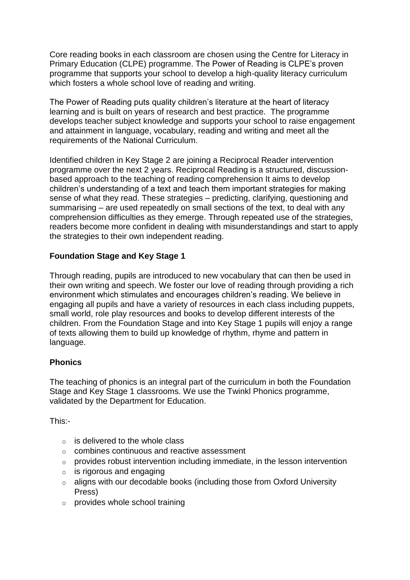Core reading books in each classroom are chosen using the Centre for Literacy in Primary Education (CLPE) programme. The Power of Reading is CLPE's proven programme that supports your school to develop a high-quality literacy curriculum which fosters a whole school love of reading and writing.

The Power of Reading puts quality children's literature at the heart of literacy learning and is built on years of research and best practice. The programme develops teacher subject knowledge and supports your school to raise engagement and attainment in language, vocabulary, reading and writing and meet all the requirements of the National Curriculum.

Identified children in Key Stage 2 are joining a Reciprocal Reader intervention programme over the next 2 years. Reciprocal Reading is a structured, discussionbased approach to the teaching of reading comprehension It aims to develop children's understanding of a text and teach them important strategies for making sense of what they read. These strategies – predicting, clarifying, questioning and summarising – are used repeatedly on small sections of the text, to deal with any comprehension difficulties as they emerge. Through repeated use of the strategies, readers become more confident in dealing with misunderstandings and start to apply the strategies to their own independent reading.

# **Foundation Stage and Key Stage 1**

Through reading, pupils are introduced to new vocabulary that can then be used in their own writing and speech. We foster our love of reading through providing a rich environment which stimulates and encourages children's reading. We believe in engaging all pupils and have a variety of resources in each class including puppets, small world, role play resources and books to develop different interests of the children. From the Foundation Stage and into Key Stage 1 pupils will enjoy a range of texts allowing them to build up knowledge of rhythm, rhyme and pattern in language.

#### **Phonics**

The teaching of phonics is an integral part of the curriculum in both the Foundation Stage and Key Stage 1 classrooms. We use the Twinkl Phonics programme, validated by the Department for Education.

This:-

- $\circ$  is delivered to the whole class
- o combines continuous and reactive assessment
- $\circ$  provides robust intervention including immediate, in the lesson intervention
- $\circ$  is rigorous and engaging
- o aligns with our decodable books (including those from Oxford University Press)
- o provides whole school training